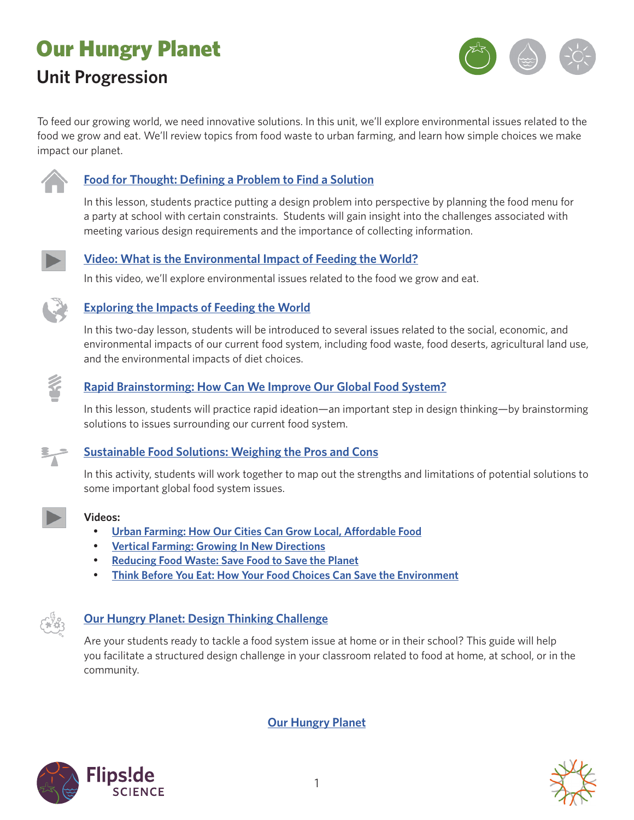# Our Hungry Planet **Unit Progression**



To feed our growing world, we need innovative solutions. In this unit, we'll explore environmental issues related to the food we grow and eat. We'll review topics from food waste to urban farming, and learn how simple choices we make impact our planet.



## **[Food for Thought: Defining a Problem to Find a Solution](https://www.calacademy.org/educators/lesson-plans/food-for-thought-defining-a-problem-to-find-a-solution)**

In this lesson, students practice putting a design problem into perspective by planning the food menu for a party at school with certain constraints. Students will gain insight into the challenges associated with meeting various design requirements and the importance of collecting information.



#### **[Video: What is the Environmental Impact of Feeding the World?](https://www.calacademy.org/educators/what-is-the-environmental-impact-of-feeding-the-world)**

In this video, we'll explore environmental issues related to the food we grow and eat.



#### **[Exploring the Impacts of Feeding the World](https://www.calacademy.org/educators/lesson-plans/exploring-the-impacts-of-feeding-the-world)**

In this two-day lesson, students will be introduced to several issues related to the social, economic, and environmental impacts of our current food system, including food waste, food deserts, agricultural land use, and the environmental impacts of diet choices.



#### **[Rapid Brainstorming: How Can We Improve Our Global Food System?](https://www.calacademy.org/educators/lesson-plans/rapid-brainstorming-how-can-we-improve-our-global-food-system)**

In this lesson, students will practice rapid ideation—an important step in design thinking—by brainstorming solutions to issues surrounding our current food system.



### **[Sustainable Food Solutions: Weighing the Pros and Cons](https://www.calacademy.org/educators/lesson-plans/sustainable-food-solutions-weighing-the-pros-and-cons)**

In this activity, students will work together to map out the strengths and limitations of potential solutions to some important global food system issues.



#### **Videos:**

- **[Urban Farming: How Our Cities Can Grow Local, Affordable Food](https://www.calacademy.org/educators/urban-farming)**
- **[Vertical Farming: Growing In New Directions](https://www.calacademy.org/educators/vertical-farming)**
- **[Reducing Food Waste: Save Food to Save the Planet](https://www.calacademy.org/educators/reducing-food-waste)**
- • **[Think Before You Eat: How Your Food Choices Can Save the Environment](https://www.calacademy.org/educators/think-before-you-eat)**



#### **[Our Hungry Planet: Design Thinking Challenge](https://www.calacademy.org/educators/lesson-plans/our-hungry-planet-design-thinking-challenge)**

Are your students ready to tackle a food system issue at home or in their school? This guide will help you facilitate a structured design challenge in your classroom related to food at home, at school, or in the community.

**[Our Hungry Planet](https://www.calacademy.org/educators/our-hungry-planet)**